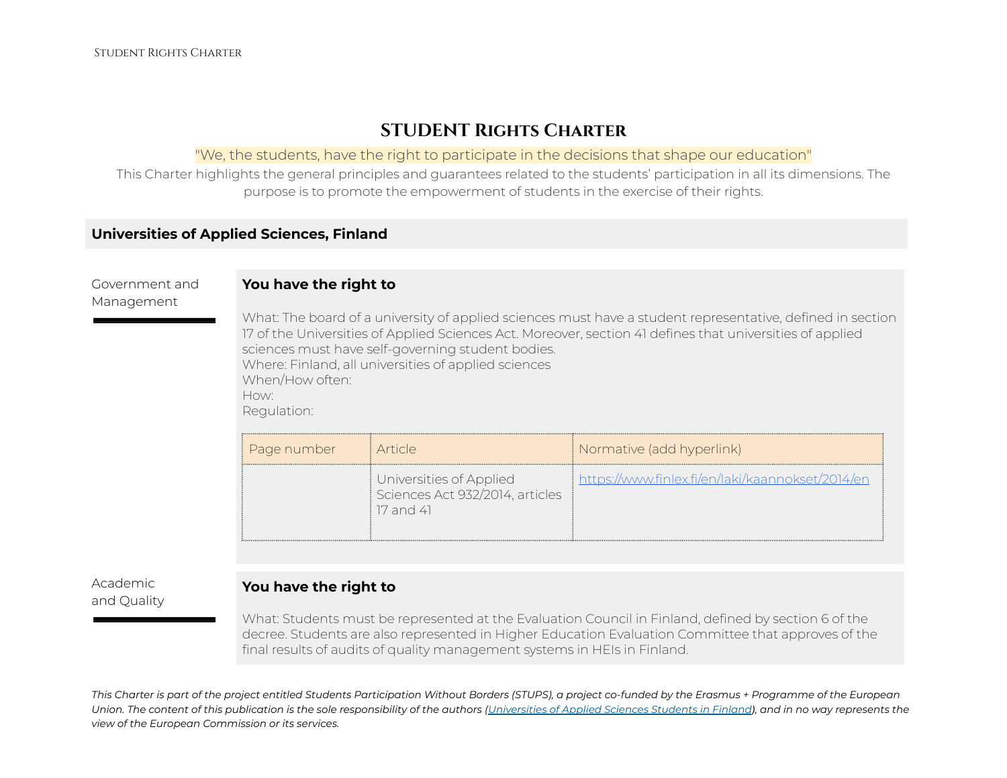# **STUDENT Rights Charter**

#### "We, the students, have the right to participate in the decisions that shape our education"

This Charter highlights the general principles and guarantees related to the students' participation in all its dimensions. The purpose is to promote the empowerment of students in the exercise of their rights.

## **Universities of Applied Sciences, Finland**

#### **You have the right to**

Management

Government and

What: The board of a university of applied sciences must have a student representative, defined in section 17 of the Universities of Applied Sciences Act. Moreover, section 41 defines that universities of applied sciences must have self-governing student bodies. Where: Finland, all universities of applied sciences When/How often: How: Regulation:

| Page number | <i>i</i> Article                                                        | <i>[</i> Normative (add hyperlink)               |
|-------------|-------------------------------------------------------------------------|--------------------------------------------------|
|             | Universities of Applied<br>Sciences Act 932/2014, articles<br>17 and 41 | https://www.finlex.fi/en/laki/kaannokset/2014/en |

Academic and Quality

#### **You have the right to**

What: Students must be represented at the Evaluation Council in Finland, defined by section 6 of the decree. Students are also represented in Higher Education Evaluation Committee that approves of the final results of audits of quality management systems in HEIs in Finland.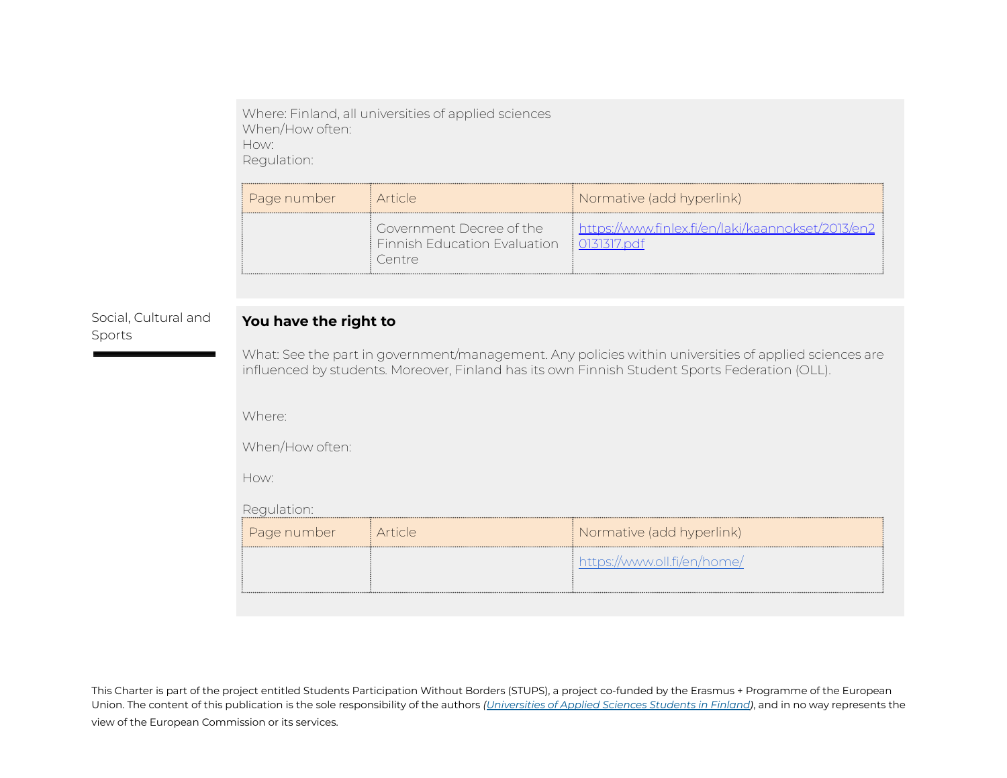Where: Finland, all universities of applied sciences When/How often: How: Regulation:

| ‡ Page number | : Article                                                              | Normative (add hyperlink)                         |
|---------------|------------------------------------------------------------------------|---------------------------------------------------|
|               | ! Government Decree of the I<br>Finnish Education Evaluation<br>Centre | https://www.finlex.fi/en/laki/kaannokset/2013/en2 |

### Social, Cultural and Sports

### **You have the right to**

What: See the part in government/management. Any policies within universities of applied sciences are influenced by students. Moreover, Finland has its own Finnish Student Sports Federation (OLL).

Where:

When/How often:

How:

Regulation:

| Page number | i Article | Normative (add hyperlink)   |
|-------------|-----------|-----------------------------|
|             |           | https://www.oll.fi/en/home/ |
|             |           |                             |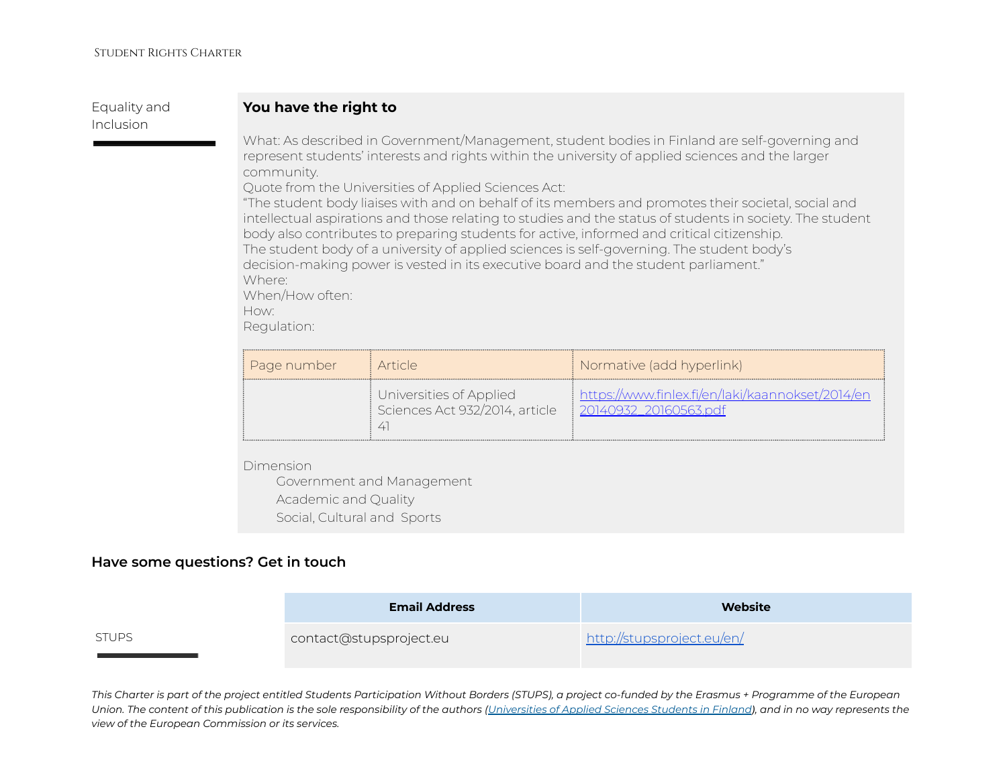Equality and Inclusion

#### **You have the right to**

What: As described in Government/Management, student bodies in Finland are self-governing and represent students' interests and rights within the university of applied sciences and the larger community.

Quote from the Universities of Applied Sciences Act:

"The student body liaises with and on behalf of its members and promotes their societal, social and intellectual aspirations and those relating to studies and the status of students in society. The student body also contributes to preparing students for active, informed and critical citizenship. The student body of a university of applied sciences is self-governing. The student body's decision-making power is vested in its executive board and the student parliament." Where: When/How often:

How:

Regulation:

| Page number | i Article i                                               | Normative (add hyperlink)                                                 |
|-------------|-----------------------------------------------------------|---------------------------------------------------------------------------|
|             | Universities of Applied<br>Sciences Act 932/2014, article | https://www.finlex.fi/en/laki/kaannokset/2014/en<br>20140932 20160563.pdf |

Dimension

Government and Management Academic and Quality Social, Cultural and Sports

#### **Have some questions? Get in touch**

|              | <b>Email Address</b>    | Website                    |
|--------------|-------------------------|----------------------------|
| <b>STUPS</b> | contact@stupsproject.eu | http://stupsproject.eu/en/ |